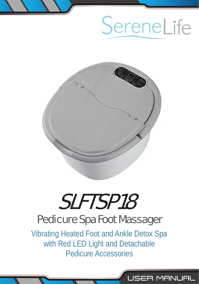# SereneLife

USER MANUAL



# SLFTSP18 Pedicure Spa Foot Massager

Vibrating Heated Foot and Ankle Detox Spa with Red LED Light and Detachable Pedicure Accessories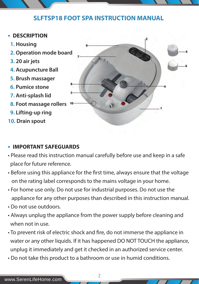# **SLFTSP18 FOOT SPA INSTRUCTION MANUAL**

- **DESCRIPTION**
	- **1. Housing**
	- **2. Operation mode board**
	- **3. 20 air jets**
	- **4. Acupuncture Ball**
	- **5. Brush massager**
	- **6. Pumice stone**
	- **7. Anti-splash lid**
	- **8. Foot massage rollers**
	- **9. Lifting-up ring**
- **10. Drain spout**



#### **• IMPORTANT SAFEGUARDS**

- Please read this instruction manual carefully before use and keep in a safe place for future reference.
- Before using this appliance for the first time, always ensure that the voltage on the rating label corresponds to the mains voltage in your home.
- For home use only. Do not use for industrial purposes. Do not use the appliance for any other purposes than described in this instruction manual.
- Do not use outdoors.
- Always unplug the appliance from the power supply before cleaning and when not in use.
- To prevent risk of electric shock and fire, do not immerse the appliance in water or any other liquids. If it has happened DO NOT TOUCH the appliance, unplug it immediately and get it checked in an authorized service center.

2

• Do not take this product to a bathroom or use in humid conditions.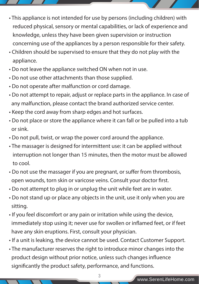- This appliance is not intended for use by persons (including children) with reduced physical, sensory or mental capabilities, or lack of experience and knowledge, unless they have been given supervision or instruction concerning use of the appliances by a person responsible for their safety.
- Children should be supervised to ensure that they do not play with the appliance.
- Do not leave the appliance switched ON when not in use.
- Do not use other attachments than those supplied.
- Do not operate after malfunction or cord damage.
- Do not attempt to repair, adjust or replace parts in the appliance. In case of any malfunction, please contact the brand authorized service center.
- Keep the cord away from sharp edges and hot surfaces.
- Do not place or store the appliance where it can fall or be pulled into a tub or sink.
- Do not pull, twist, or wrap the power cord around the appliance.
- The massager is designed for intermittent use: it can be applied without interruption not longer than 15 minutes, then the motor must be allowed to cool.
- Do not use the massager if you are pregnant, or suffer from thrombosis, open wounds, torn skin or varicose veins. Consult your doctor first.
- Do not attempt to plug in or unplug the unit while feet are in water.
- Do not stand up or place any objects in the unit, use it only when you are sitting.
- If you feel discomfort or any pain or irritation while using the device, immediately stop using it; never use for swollen or inflamed feet, or if feet have any skin eruptions. First, consult your physician.
- If a unit is leaking, the device cannot be used. Contact Customer Support.
- The manufacturer reserves the right to introduce minor changes into the product design without prior notice, unless such changes influence significantly the product safety, performance, and functions.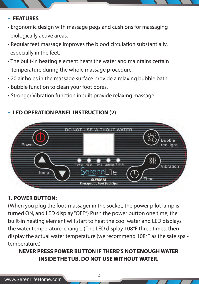#### **• FEATURES**

- Ergonomic design with massage pegs and cushions for massaging biologically active areas.
- Regular feet massage improves the blood circulation substantially, especially in the feet.
- The built-in heating element heats the water and maintains certain temperature during the whole massage procedure.
- 20 air holes in the massage surface provide a relaxing bubble bath.
- Bubble function to clean your foot pores.
- Stronger Vibration function inbuilt provide relaxing massage .

#### **• LED OPERATION PANEL INSTRUCTION (2)**



#### **1. POWER BUTTON:**

(When you plug the foot-massager in the socket, the power pilot lamp is turned ON, and LED display "OFF") Push the power button one time, the built-in heating element will start to heat the cool water and LED displays the water temperature-change, (The LED display 108°F three times, then display the actual water temperature (we recommend 108°F as the safe spa temperature.)

# **NEVER PRESS POWER BUTTON IF THERE'S NOT ENOUGH WATER INSIDE THE TUB. DO NOT USE WITHOUT WATER.**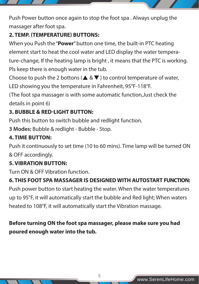Push Power button once again to stop the foot spa . Always unplug the massager after foot spa.

# **2. TEMP. (TEMPERATURE) BUTTONS:**

When you Push the "**Power**" button one time, the built-in PTC heating element start to heat the cool water and LED display the water temperature-change, If the heating lamp is bright , it means that the PTC is working. Pls keep there is enough water in the tub.

Choose to push the 2 bottons ( $\triangle \& \blacktriangledown$ ) to control temperature of water,

LED showing you the temperature in Fahrenheit, 95°F-118°F.

(The foot spa massager is with some automatic function,Just check the details in point 6)

## **3. BUBBLE & RED-LIGHT BUTTON:**

Push this button to switch bubble and redlight function.

**3 Modes:** Bubble & redlight - Bubble - Stop.

#### **4. TIME BUTTON:**

Push it continuously to set time (10 to 60 mins). Time lamp will be turned ON & OFF accordingly.

#### **5. VIBRATION BUTTON:**

Turn ON & OFF Vibration function.

# **6. THIS FOOT SPA MASSAGER IS DESIGNED WITH AUTOSTART FUNCTION:**

Push power button to start heating the water. When the water temperatures up to 95°F, it will automatically start the bubble and Red light; When waters heated to 108°F, it will automatically start the Vibration massage.

# **Before turning ON the foot spa massager, please make sure you had poured enough water into the tub.**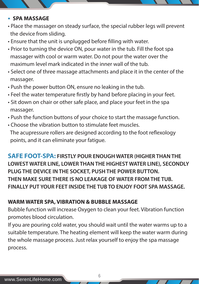#### **• SPA MASSAGE**

- Place the massager on steady surface, the special rubber legs will prevent the device from sliding.
- Ensure that the unit is unplugged before filling with water.
- Prior to turning the device ON, pour water in the tub. Fill the foot spa massager with cool or warm water. Do not pour the water over the maximum level mark indicated in the inner wall of the tub.
- Select one of three massage attachments and place it in the center of the massager.
- Push the power button ON, ensure no leaking in the tub.
- Feel the water temperature firstly by hand before placing in your feet.
- Sit down on chair or other safe place, and place your feet in the spa massager.
- Push the function buttons of your choice to start the massage function.
- Choose the vibration button to stimulate feet muscles. The acupressure rollers are designed according to the foot reflexology points, and it can eliminate your fatigue.

**SAFE FOOT-SPA: FIRSTLY POUR ENOUGH WATER (HIGHER THAN THE LOWEST WATER LINE, LOWER THAN THE HIGHEST WATER LINE), SECONDLY PLUG THE DEVICE IN THE SOCKET, PUSH THE POWER BUTTON. THEN MAKE SURE THERE IS NO LEAKAGE OF WATER FROM THE TUB. FINALLY PUT YOUR FEET INSIDE THE TUB TO ENJOY FOOT SPA MASSAGE.**

#### **WARM WATER SPA, VIBRATION & BUBBLE MASSAGE**

Bubble function will increase Oxygen to clean your feet. Vibration function promotes blood circulation.

If you are pouring cold water, you should wait until the water warms up to a suitable temperature. The heating element will keep the water warm during the whole massage process. Just relax yourself to enjoy the spa massage process.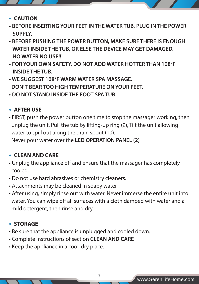- **CAUTION**
- **BEFORE INSERTING YOUR FEET IN THE WATER TUB, PLUG IN THE POWER SUPPLY.**
- **BEFORE PUSHING THE POWER BUTTON, MAKE SURE THERE IS ENOUGH WATER INSIDE THE TUB, OR ELSE THE DEVICE MAY GET DAMAGED. NO WATER NO USE!!!**
- **FOR YOUR OWN SAFETY, DO NOT ADD WATER HOTTER THAN 108°F INSIDE THE TUB.**
- **WE SUGGEST 108°F WARM WATER SPA MASSAGE. DON'T BEAR TOO HIGH TEMPERATURE ON YOUR FEET.**
- **DO NOT STAND INSIDE THE FOOT SPA TUB.**

## **• AFTER USE**

• FIRST, push the power button one time to stop the massager working, then unplug the unit. Pull the tub by lifting-up ring (9), Tilt the unit allowing water to spill out along the drain spout (10).

Never pour water over the **LED OPERATION PANEL (2)**

# **• CLEAN AND CARE**

- Unplug the appliance off and ensure that the massager has completely cooled.
- Do not use hard abrasives or chemistry cleaners.
- Attachments may be cleaned in soapy water
- After using, simply rinse out with water. Never immerse the entire unit into water. You can wipe off all surfaces with a cloth damped with water and a mild detergent, then rinse and dry.

7

# **• STORAGE**

- Be sure that the appliance is unplugged and cooled down.
- Complete instructions of section **CLEAN AND CARE**
- Keep the appliance in a cool, dry place.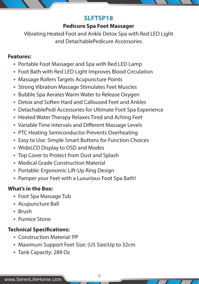#### **SLFTSP18**

#### **Pedicure Spa Foot Massager**

Vibrating Heated Foot and Ankle Detox Spa with Red LED Light and DetachablePedicure Accessories

#### **Features:**

- Portable Foot Massager and Spa with Red LED Lamp
- Foot Bath with Red LED Light Improves Blood Circulation
- Massage Rollers Targets Acupuncture Points
- Strong Vibration Massage Stimulates Feet Muscles
- Bubble Spa Aerates Warm Water to Release Oxygen
- Detox and Soften Hard and Calloused Feet and Ankles
- DetachablePedi Accessories for Ultimate Foot Spa Experience
- Heated Water Therapy Relaxes Tired and Aching Feet
- Variable Time Intervals and Different Massage Levels
- PTC Heating Semiconductor Prevents Overheating
- Easy to Use: Simple Smart Buttons for Function Choices
- WideLCD Display to OSD and Modes
- Top Cover to Protect from Dust and Splash
- Medical Grade Construction Material
- Portable: Ergonomic Lift-Up Ring Design
- Pamper your Feet with a Luxurious Foot Spa Bath!

#### **What's in the Box:**

- Foot Spa Massage Tub
- Acupuncture Ball
- Brush
- Pumice Stone

# **Technical Specifications:**

- Construction Material: PP
- Maximum Support Feet Size: (US Size)Up to 32cm

8

 **•** Tank Capacity: 289 Oz